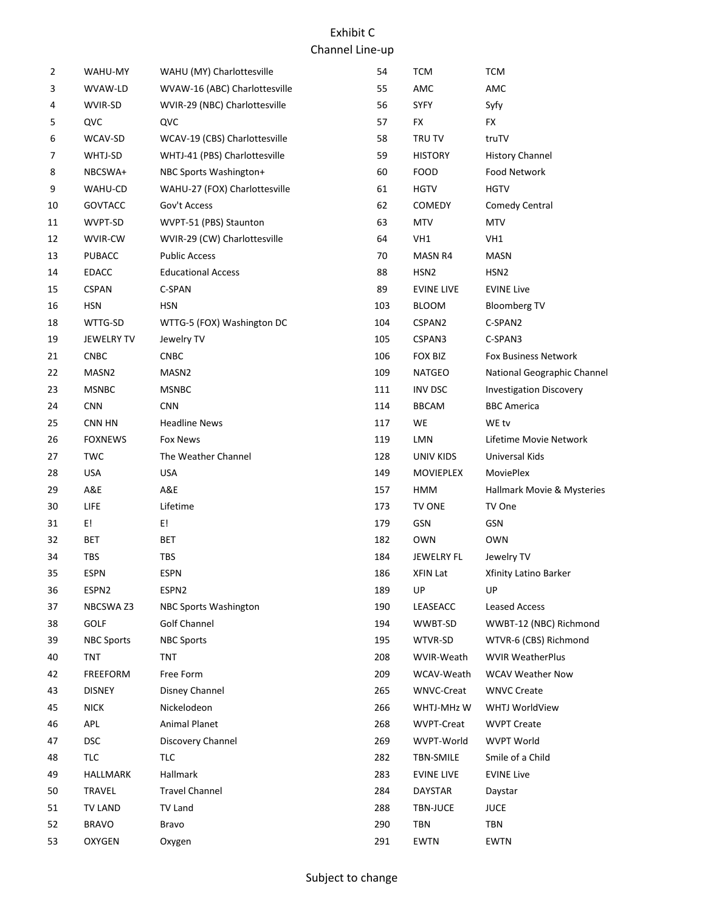| 2  | WAHU-MY           | WAHU (MY) Charlottesville     | 54  | <b>TCM</b>        | <b>TCM</b>                     |
|----|-------------------|-------------------------------|-----|-------------------|--------------------------------|
| 3  | WVAW-LD           | WVAW-16 (ABC) Charlottesville | 55  | AMC               | AMC                            |
| 4  | WVIR-SD           | WVIR-29 (NBC) Charlottesville | 56  | <b>SYFY</b>       | Syfy                           |
| 5  | QVC               | QVC                           | 57  | <b>FX</b>         | <b>FX</b>                      |
| 6  | WCAV-SD           | WCAV-19 (CBS) Charlottesville | 58  | TRU TV            | truTV                          |
| 7  | WHTJ-SD           | WHTJ-41 (PBS) Charlottesville | 59  | <b>HISTORY</b>    | <b>History Channel</b>         |
| 8  | NBCSWA+           | NBC Sports Washington+        | 60  | <b>FOOD</b>       | Food Network                   |
| 9  | WAHU-CD           | WAHU-27 (FOX) Charlottesville | 61  | <b>HGTV</b>       | <b>HGTV</b>                    |
| 10 | GOVTACC           | Gov't Access                  | 62  | <b>COMEDY</b>     | <b>Comedy Central</b>          |
| 11 | WVPT-SD           | WVPT-51 (PBS) Staunton        | 63  | <b>MTV</b>        | <b>MTV</b>                     |
| 12 | WVIR-CW           | WVIR-29 (CW) Charlottesville  | 64  | VH1               | VH1                            |
| 13 | <b>PUBACC</b>     | <b>Public Access</b>          | 70  | MASN R4           | <b>MASN</b>                    |
| 14 | <b>EDACC</b>      | <b>Educational Access</b>     | 88  | HSN <sub>2</sub>  | HSN <sub>2</sub>               |
| 15 | <b>CSPAN</b>      | C-SPAN                        | 89  | <b>EVINE LIVE</b> | <b>EVINE Live</b>              |
| 16 | <b>HSN</b>        | HSN                           | 103 | <b>BLOOM</b>      | <b>Bloomberg TV</b>            |
| 18 | WTTG-SD           | WTTG-5 (FOX) Washington DC    | 104 | CSPAN2            | C-SPAN2                        |
| 19 | <b>JEWELRY TV</b> | Jewelry TV                    | 105 | CSPAN3            | C-SPAN3                        |
| 21 | <b>CNBC</b>       | CNBC                          | 106 | <b>FOX BIZ</b>    | <b>Fox Business Network</b>    |
| 22 | MASN <sub>2</sub> | MASN <sub>2</sub>             | 109 | <b>NATGEO</b>     | National Geographic Channel    |
| 23 | <b>MSNBC</b>      | <b>MSNBC</b>                  | 111 | <b>INV DSC</b>    | <b>Investigation Discovery</b> |
| 24 | <b>CNN</b>        | <b>CNN</b>                    | 114 | <b>BBCAM</b>      | <b>BBC</b> America             |
| 25 | CNN HN            | <b>Headline News</b>          | 117 | WE                | WE tv                          |
| 26 | <b>FOXNEWS</b>    | Fox News                      | 119 | LMN               | Lifetime Movie Network         |
| 27 | <b>TWC</b>        | The Weather Channel           | 128 | UNIV KIDS         | Universal Kids                 |
| 28 | <b>USA</b>        | <b>USA</b>                    | 149 | MOVIEPLEX         | <b>MoviePlex</b>               |
| 29 | A&E               | A&E                           | 157 | HMM               | Hallmark Movie & Mysteries     |
| 30 | <b>LIFE</b>       | Lifetime                      | 173 | TV ONE            | TV One                         |
| 31 | E!                | E!                            | 179 | GSN               | GSN                            |
| 32 | <b>BET</b>        | BET                           | 182 | <b>OWN</b>        | <b>OWN</b>                     |
| 34 | TBS               | TBS                           | 184 | JEWELRY FL        | Jewelry TV                     |
| 35 | <b>ESPN</b>       | <b>ESPN</b>                   | 186 | XFIN Lat          | Xfinity Latino Barker          |
| 36 | ESPN2             | ESPN2                         | 189 | UP                | UP                             |
| 37 | NBCSWA Z3         | NBC Sports Washington         | 190 | LEASEACC          | Leased Access                  |
| 38 | <b>GOLF</b>       | Golf Channel                  | 194 | WWBT-SD           | WWBT-12 (NBC) Richmond         |
| 39 | <b>NBC Sports</b> | <b>NBC Sports</b>             | 195 | WTVR-SD           | WTVR-6 (CBS) Richmond          |
| 40 | TNT               | TNT                           | 208 | WVIR-Weath        | <b>WVIR WeatherPlus</b>        |
| 42 | <b>FREEFORM</b>   | Free Form                     | 209 | WCAV-Weath        | <b>WCAV Weather Now</b>        |
| 43 | <b>DISNEY</b>     | Disney Channel                | 265 | WNVC-Creat        | <b>WNVC Create</b>             |
| 45 | <b>NICK</b>       | Nickelodeon                   | 266 | WHTJ-MHz W        | WHTJ WorldView                 |
| 46 | APL               | <b>Animal Planet</b>          | 268 | WVPT-Creat        | <b>WVPT Create</b>             |
| 47 | <b>DSC</b>        | Discovery Channel             | 269 | WVPT-World        | <b>WVPT World</b>              |
| 48 | TLC               | TLC                           | 282 | TBN-SMILE         | Smile of a Child               |
| 49 | <b>HALLMARK</b>   | Hallmark                      | 283 | <b>EVINE LIVE</b> | <b>EVINE Live</b>              |
| 50 | <b>TRAVEL</b>     | <b>Travel Channel</b>         | 284 | <b>DAYSTAR</b>    | Daystar                        |
| 51 | <b>TV LAND</b>    | <b>TV Land</b>                | 288 | <b>TBN-JUCE</b>   | <b>JUCE</b>                    |
| 52 | <b>BRAVO</b>      | Bravo                         | 290 | TBN               | <b>TBN</b>                     |
| 53 | <b>OXYGEN</b>     | Oxygen                        | 291 | <b>EWTN</b>       | <b>EWTN</b>                    |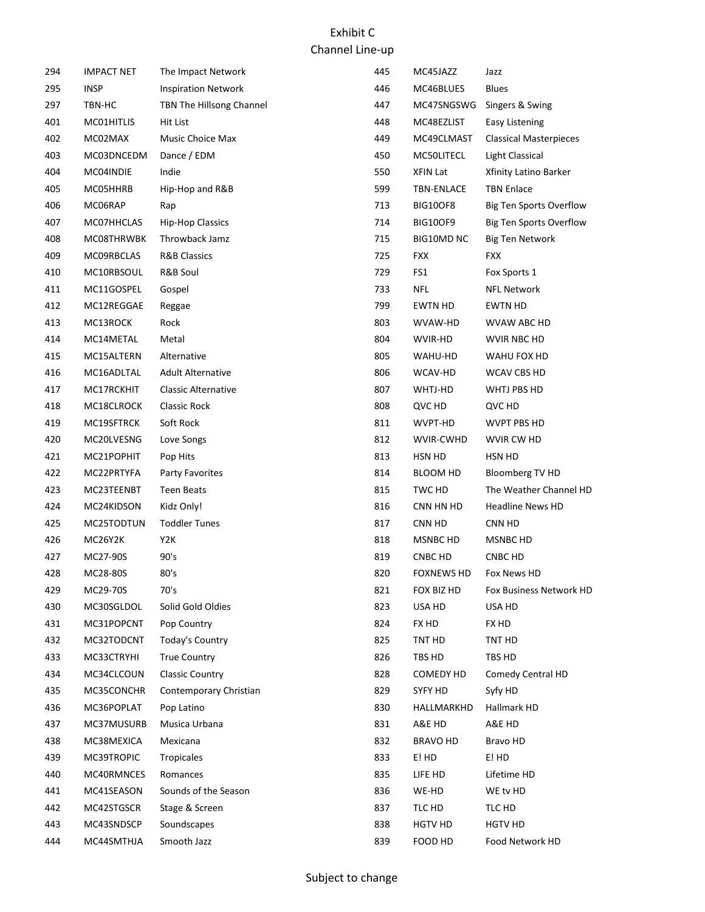| 294 | IMPACT NET  | The Impact Network         | 445 | MC45JAZZ          | Jazz                           |
|-----|-------------|----------------------------|-----|-------------------|--------------------------------|
| 295 | <b>INSP</b> | <b>Inspiration Network</b> | 446 | MC46BLUES         | <b>Blues</b>                   |
| 297 | TBN-HC      | TBN The Hillsong Channel   | 447 | MC47SNGSWG        | Singers & Swing                |
| 401 | MC01HITLIS  | Hit List                   | 448 | MC48EZLIST        | Easy Listening                 |
| 402 | MC02MAX     | Music Choice Max           | 449 | MC49CLMAST        | <b>Classical Masterpieces</b>  |
| 403 | MC03DNCEDM  | Dance / EDM                | 450 | MC50LITECL        | <b>Light Classical</b>         |
| 404 | MC04INDIE   | Indie                      | 550 | XFIN Lat          | Xfinity Latino Barker          |
| 405 | MC05HHRB    | Hip-Hop and R&B            | 599 | <b>TBN-ENLACE</b> | <b>TBN Enlace</b>              |
| 406 | MC06RAP     | Rap                        | 713 | <b>BIG10OF8</b>   | <b>Big Ten Sports Overflow</b> |
| 407 | MC07HHCLAS  | <b>Hip-Hop Classics</b>    | 714 | <b>BIG10OF9</b>   | <b>Big Ten Sports Overflow</b> |
| 408 | MC08THRWBK  | Throwback Jamz             | 715 | <b>BIG10MD NC</b> | <b>Big Ten Network</b>         |
| 409 | MC09RBCLAS  | <b>R&amp;B Classics</b>    | 725 | <b>FXX</b>        | <b>FXX</b>                     |
| 410 | MC10RBSOUL  | R&B Soul                   | 729 | FS1               | Fox Sports 1                   |
| 411 | MC11GOSPEL  | Gospel                     | 733 | <b>NFL</b>        | <b>NFL Network</b>             |
| 412 | MC12REGGAE  | Reggae                     | 799 | <b>EWTN HD</b>    | <b>EWTN HD</b>                 |
| 413 | MC13ROCK    | Rock                       | 803 | WVAW-HD           | WVAW ABC HD                    |
| 414 | MC14METAL   | Metal                      | 804 | WVIR-HD           | WVIR NBC HD                    |
| 415 | MC15ALTERN  | Alternative                | 805 | WAHU-HD           | WAHU FOX HD                    |
| 416 | MC16ADLTAL  | <b>Adult Alternative</b>   | 806 | WCAV-HD           | WCAV CBS HD                    |
| 417 | MC17RCKHIT  | <b>Classic Alternative</b> | 807 | WHTJ-HD           | WHTJ PBS HD                    |
| 418 | MC18CLROCK  | Classic Rock               | 808 | QVC HD            | QVC HD                         |
| 419 | MC19SFTRCK  | Soft Rock                  | 811 | WVPT-HD           | <b>WVPT PBS HD</b>             |
| 420 | MC20LVESNG  | Love Songs                 | 812 | WVIR-CWHD         | WVIR CW HD                     |
| 421 | MC21POPHIT  | Pop Hits                   | 813 | HSN HD            | HSN HD                         |
| 422 | MC22PRTYFA  | Party Favorites            | 814 | BLOOM HD          | Bloomberg TV HD                |
| 423 | MC23TEENBT  | <b>Teen Beats</b>          | 815 | TWC HD            | The Weather Channel HD         |
| 424 | MC24KIDSON  | Kidz Only!                 | 816 | CNN HN HD         | <b>Headline News HD</b>        |
| 425 | MC25TODTUN  | <b>Toddler Tunes</b>       | 817 | CNN HD            | CNN HD                         |
| 426 | MC26Y2K     | Y2K                        | 818 | MSNBC HD          | MSNBC HD                       |
| 427 | MC27-90S    | 90's                       | 819 | CNBC HD           | CNBC HD                        |
| 428 | MC28-80S    | 80's                       | 820 | <b>FOXNEWS HD</b> | Fox News HD                    |
| 429 | MC29-70S    | 70's                       | 821 | FOX BIZ HD        | Fox Business Network HD        |
| 430 | MC30SGLDOL  | Solid Gold Oldies          | 823 | USA HD            | USA HD                         |
| 431 | MC31POPCNT  | Pop Country                | 824 | FX HD             | FX HD                          |
| 432 | MC32TODCNT  | Today's Country            | 825 | TNT HD            | TNT HD                         |
| 433 | MC33CTRYHI  | <b>True Country</b>        | 826 | TBS HD            | TBS HD                         |
| 434 | MC34CLCOUN  | <b>Classic Country</b>     | 828 | <b>COMEDY HD</b>  | Comedy Central HD              |
| 435 | MC35CONCHR  | Contemporary Christian     | 829 | SYFY HD           | Syfy HD                        |
| 436 | MC36POPLAT  | Pop Latino                 | 830 | HALLMARKHD        | Hallmark HD                    |
| 437 | MC37MUSURB  | Musica Urbana              | 831 | A&E HD            | A&E HD                         |
| 438 | MC38MEXICA  | Mexicana                   | 832 | <b>BRAVO HD</b>   | Bravo HD                       |
| 439 | MC39TROPIC  | Tropicales                 | 833 | E! HD             | E! HD                          |
| 440 | MC40RMNCES  | Romances                   | 835 | LIFE HD           | Lifetime HD                    |
| 441 | MC41SEASON  | Sounds of the Season       | 836 | WE-HD             | WE tv HD                       |
| 442 | MC42STGSCR  | Stage & Screen             | 837 | TLC HD            | TLC HD                         |
| 443 | MC43SNDSCP  | Soundscapes                | 838 | <b>HGTV HD</b>    | <b>HGTV HD</b>                 |
| 444 | MC44SMTHJA  | Smooth Jazz                | 839 | FOOD HD           | Food Network HD                |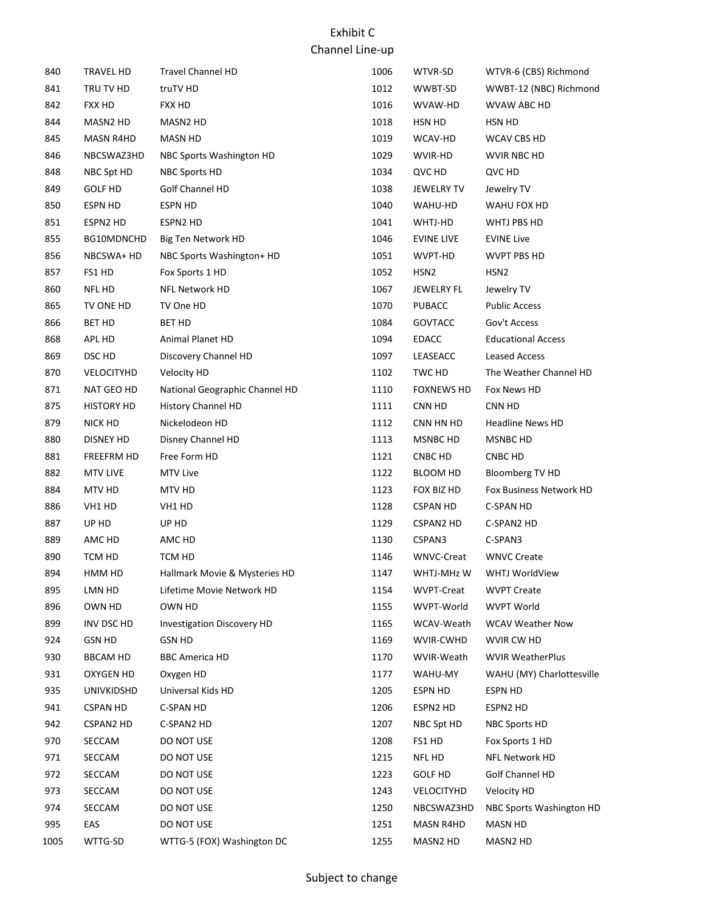| 840  | TRAVEL HD         | <b>Travel Channel HD</b>          | 1006 | WTVR-SD           | WTVR-6 (CBS) Richmond     |
|------|-------------------|-----------------------------------|------|-------------------|---------------------------|
| 841  | TRU TV HD         | truTV HD                          | 1012 | WWBT-SD           | WWBT-12 (NBC) Richmond    |
| 842  | FXX HD            | <b>FXX HD</b>                     | 1016 | WVAW-HD           | WVAW ABC HD               |
| 844  | MASN2 HD          | MASN2 HD                          | 1018 | HSN HD            | HSN HD                    |
| 845  | MASN R4HD         | MASN HD                           | 1019 | WCAV-HD           | WCAV CBS HD               |
| 846  | NBCSWAZ3HD        | NBC Sports Washington HD          | 1029 | WVIR-HD           | WVIR NBC HD               |
| 848  | NBC Spt HD        | NBC Sports HD                     | 1034 | QVC HD            | QVC HD                    |
| 849  | <b>GOLF HD</b>    | Golf Channel HD                   | 1038 | <b>JEWELRY TV</b> | Jewelry TV                |
| 850  | <b>ESPN HD</b>    | ESPN HD                           | 1040 | WAHU-HD           | WAHU FOX HD               |
| 851  | ESPN2 HD          | ESPN2 HD                          | 1041 | WHTJ-HD           | WHTJ PBS HD               |
| 855  | BG10MDNCHD        | Big Ten Network HD                | 1046 | <b>EVINE LIVE</b> | <b>EVINE Live</b>         |
| 856  | NBCSWA+ HD        | NBC Sports Washington+ HD         | 1051 | WVPT-HD           | WVPT PBS HD               |
| 857  | FS1 HD            | Fox Sports 1 HD                   | 1052 | HSN <sub>2</sub>  | HSN <sub>2</sub>          |
| 860  | NFL HD            | <b>NFL Network HD</b>             | 1067 | JEWELRY FL        | Jewelry TV                |
| 865  | TV ONE HD         | TV One HD                         | 1070 | <b>PUBACC</b>     | <b>Public Access</b>      |
| 866  | <b>BET HD</b>     | <b>BET HD</b>                     | 1084 | <b>GOVTACC</b>    | Gov't Access              |
| 868  | APL HD            | Animal Planet HD                  | 1094 | <b>EDACC</b>      | <b>Educational Access</b> |
| 869  | DSC HD            | Discovery Channel HD              | 1097 | LEASEACC          | <b>Leased Access</b>      |
| 870  | VELOCITYHD        | Velocity HD                       | 1102 | TWC HD            | The Weather Channel HD    |
| 871  | NAT GEO HD        | National Geographic Channel HD    | 1110 | <b>FOXNEWS HD</b> | Fox News HD               |
| 875  | <b>HISTORY HD</b> | History Channel HD                | 1111 | CNN HD            | CNN HD                    |
| 879  | NICK HD           | Nickelodeon HD                    | 1112 | CNN HN HD         | <b>Headline News HD</b>   |
| 880  | DISNEY HD         | Disney Channel HD                 | 1113 | MSNBC HD          | MSNBC HD                  |
| 881  | FREEFRM HD        | Free Form HD                      | 1121 | CNBC HD           | CNBC HD                   |
| 882  | <b>MTV LIVE</b>   | <b>MTV Live</b>                   | 1122 | BLOOM HD          | Bloomberg TV HD           |
| 884  | MTV HD            | MTV HD                            | 1123 | FOX BIZ HD        | Fox Business Network HD   |
| 886  | VH1 HD            | VH1 HD                            | 1128 | CSPAN HD          | C-SPAN HD                 |
| 887  | UP HD             | UP HD                             | 1129 | <b>CSPAN2 HD</b>  | C-SPAN2 HD                |
| 889  | AMC HD            | AMC HD                            | 1130 | CSPAN3            | C-SPAN3                   |
| 890  | TCM HD            | TCM HD                            | 1146 | WNVC-Creat        | <b>WNVC Create</b>        |
| 894  | HMM HD            | Hallmark Movie & Mysteries HD     | 1147 | WHTJ-MHz W        | <b>WHTJ WorldView</b>     |
| 895  | LMN HD            | Lifetime Movie Network HD         | 1154 | <b>WVPT-Creat</b> | <b>WVPT Create</b>        |
| 896  | OWN HD            | OWN HD                            | 1155 | WVPT-World        | <b>WVPT World</b>         |
| 899  | INV DSC HD        | <b>Investigation Discovery HD</b> | 1165 | WCAV-Weath        | <b>WCAV Weather Now</b>   |
| 924  | <b>GSN HD</b>     | <b>GSN HD</b>                     | 1169 | WVIR-CWHD         | WVIR CW HD                |
| 930  | <b>BBCAM HD</b>   | <b>BBC America HD</b>             | 1170 | WVIR-Weath        | <b>WVIR WeatherPlus</b>   |
| 931  | <b>OXYGEN HD</b>  | Oxygen HD                         | 1177 | WAHU-MY           | WAHU (MY) Charlottesville |
| 935  | UNIVKIDSHD        | Universal Kids HD                 | 1205 | ESPN HD           | ESPN HD                   |
| 941  | <b>CSPAN HD</b>   | C-SPAN HD                         | 1206 | ESPN2 HD          | ESPN2 HD                  |
| 942  | <b>CSPAN2 HD</b>  | C-SPAN2 HD                        | 1207 | NBC Spt HD        | NBC Sports HD             |
| 970  | SECCAM            | DO NOT USE                        | 1208 | FS1 HD            | Fox Sports 1 HD           |
| 971  | SECCAM            | DO NOT USE                        | 1215 | NFL HD            | NFL Network HD            |
| 972  | SECCAM            | DO NOT USE                        | 1223 | <b>GOLF HD</b>    | Golf Channel HD           |
| 973  | SECCAM            | DO NOT USE                        | 1243 | VELOCITYHD        | Velocity HD               |
| 974  | SECCAM            | DO NOT USE                        | 1250 | NBCSWAZ3HD        | NBC Sports Washington HD  |
| 995  | EAS               | DO NOT USE                        | 1251 | MASN R4HD         | <b>MASN HD</b>            |
| 1005 | WTTG-SD           | WTTG-5 (FOX) Washington DC        | 1255 | MASN2 HD          | MASN2 HD                  |